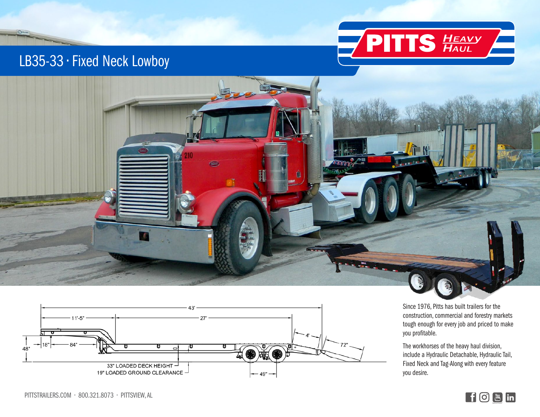

## LB35-33 • Fixed Neck Lowboy

 $O<sub>1</sub>$ 





Since 1976, Pitts has built trailers for the construction, commercial and forestry markets tough enough for every job and priced to make you profitable.

The workhorses of the heavy haul division, include a Hydraulic Detachable, Hydraulic Tail, Fixed Neck and Tag-Along with every feature you desire.